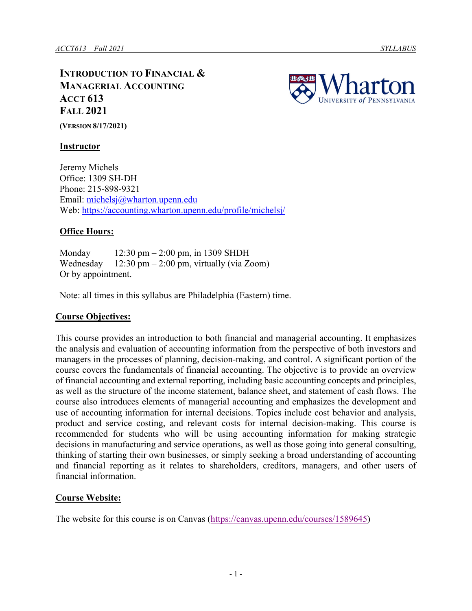**INTRODUCTION TO FINANCIAL & MANAGERIAL ACCOUNTING ACCT 613 FALL 2021 (VERSION 8/17/2021)**



**Instructor**

Jeremy Michels Office: 1309 SH-DH Phone: 215-898-9321 Email: [michelsj@wharton.upenn.edu](mailto:michelsj@wharton.upenn.edu) Web:<https://accounting.wharton.upenn.edu/profile/michelsj/>

## **Office Hours:**

Monday 12:30 pm – 2:00 pm, in 1309 SHDH Wednesday  $12:30 \text{ pm} - 2:00 \text{ pm}$ , virtually (via Zoom) Or by appointment.

Note: all times in this syllabus are Philadelphia (Eastern) time.

## **Course Objectives:**

This course provides an introduction to both financial and managerial accounting. It emphasizes the analysis and evaluation of accounting information from the perspective of both investors and managers in the processes of planning, decision-making, and control. A significant portion of the course covers the fundamentals of financial accounting. The objective is to provide an overview of financial accounting and external reporting, including basic accounting concepts and principles, as well as the structure of the income statement, balance sheet, and statement of cash flows. The course also introduces elements of managerial accounting and emphasizes the development and use of accounting information for internal decisions. Topics include cost behavior and analysis, product and service costing, and relevant costs for internal decision-making. This course is recommended for students who will be using accounting information for making strategic decisions in manufacturing and service operations, as well as those going into general consulting, thinking of starting their own businesses, or simply seeking a broad understanding of accounting and financial reporting as it relates to shareholders, creditors, managers, and other users of financial information.

## **Course Website:**

The website for this course is on Canvas [\(https://canvas.upenn.edu/courses/1589645\)](https://canvas.upenn.edu/courses/1589645)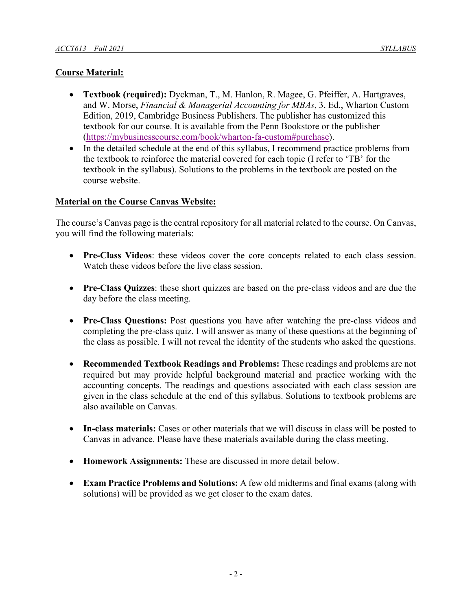# **Course Material:**

- **Textbook (required):** Dyckman, T., M. Hanlon, R. Magee, G. Pfeiffer, A. Hartgraves, and W. Morse, *Financial & Managerial Accounting for MBAs*, 3. Ed., Wharton Custom Edition, 2019, Cambridge Business Publishers. The publisher has customized this textbook for our course. It is available from the Penn Bookstore or the publisher [\(https://mybusinesscourse.com/book/wharton-fa-custom#purchase\)](https://mybusinesscourse.com/book/wharton-fa-custom#purchase).
- In the detailed schedule at the end of this syllabus, I recommend practice problems from the textbook to reinforce the material covered for each topic (I refer to 'TB' for the textbook in the syllabus). Solutions to the problems in the textbook are posted on the course website.

# **Material on the Course Canvas Website:**

The course's Canvas page is the central repository for all material related to the course. On Canvas, you will find the following materials:

- **Pre-Class Videos**: these videos cover the core concepts related to each class session. Watch these videos before the live class session.
- **Pre-Class Quizzes**: these short quizzes are based on the pre-class videos and are due the day before the class meeting.
- **Pre-Class Questions:** Post questions you have after watching the pre-class videos and completing the pre-class quiz. I will answer as many of these questions at the beginning of the class as possible. I will not reveal the identity of the students who asked the questions.
- **Recommended Textbook Readings and Problems:** These readings and problems are not required but may provide helpful background material and practice working with the accounting concepts. The readings and questions associated with each class session are given in the class schedule at the end of this syllabus. Solutions to textbook problems are also available on Canvas.
- **In-class materials:** Cases or other materials that we will discuss in class will be posted to Canvas in advance. Please have these materials available during the class meeting.
- **Homework Assignments:** These are discussed in more detail below.
- **Exam Practice Problems and Solutions:** A few old midterms and final exams (along with solutions) will be provided as we get closer to the exam dates.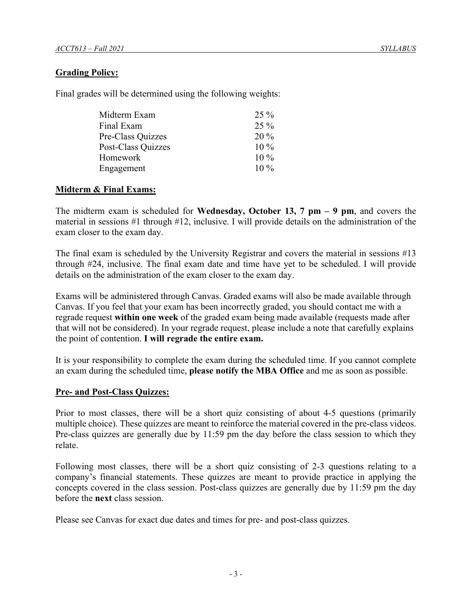## **Grading Policy:**

Final grades will be determined using the following weights:

| Midterm Exam       | $25\%$ |
|--------------------|--------|
| Final Exam         | $25\%$ |
| Pre-Class Quizzes  | $20\%$ |
| Post-Class Quizzes | $10\%$ |
| Homework           | $10\%$ |
| Engagement         | $10\%$ |

## **Midterm & Final Exams:**

The midterm exam is scheduled for **Wednesday, October 13, 7 pm – 9 pm**, and covers the material in sessions #1 through #12, inclusive. I will provide details on the administration of the exam closer to the exam day.

The final exam is scheduled by the University Registrar and covers the material in sessions #13 through #24, inclusive. The final exam date and time have yet to be scheduled. I will provide details on the administration of the exam closer to the exam day.

Exams will be administered through Canvas. Graded exams will also be made available through Canvas. If you feel that your exam has been incorrectly graded, you should contact me with a regrade request **within one week** of the graded exam being made available (requests made after that will not be considered). In your regrade request, please include a note that carefully explains the point of contention. **I will regrade the entire exam.**

It is your responsibility to complete the exam during the scheduled time. If you cannot complete an exam during the scheduled time, **please notify the MBA Office** and me as soon as possible.

## **Pre- and Post-Class Quizzes:**

Prior to most classes, there will be a short quiz consisting of about 4-5 questions (primarily multiple choice). These quizzes are meant to reinforce the material covered in the pre-class videos. Pre-class quizzes are generally due by 11:59 pm the day before the class session to which they relate.

Following most classes, there will be a short quiz consisting of 2-3 questions relating to a company's financial statements. These quizzes are meant to provide practice in applying the concepts covered in the class session. Post-class quizzes are generally due by 11:59 pm the day before the **next** class session.

Please see Canvas for exact due dates and times for pre- and post-class quizzes.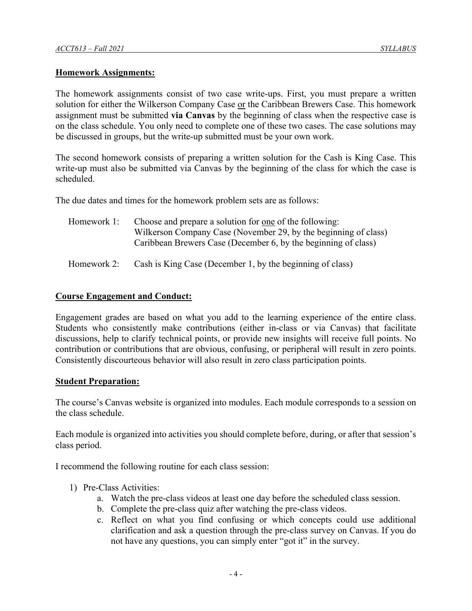#### **Homework Assignments:**

The homework assignments consist of two case write-ups. First, you must prepare a written solution for either the Wilkerson Company Case or the Caribbean Brewers Case. This homework assignment must be submitted **via Canvas** by the beginning of class when the respective case is on the class schedule. You only need to complete one of these two cases. The case solutions may be discussed in groups, but the write-up submitted must be your own work.

The second homework consists of preparing a written solution for the Cash is King Case. This write-up must also be submitted via Canvas by the beginning of the class for which the case is scheduled.

The due dates and times for the homework problem sets are as follows:

| Homework 1: | Choose and prepare a solution for one of the following:         |
|-------------|-----------------------------------------------------------------|
|             | Wilkerson Company Case (November 29, by the beginning of class) |
|             | Caribbean Brewers Case (December 6, by the beginning of class)  |

Homework 2: Cash is King Case (December 1, by the beginning of class)

#### **Course Engagement and Conduct:**

Engagement grades are based on what you add to the learning experience of the entire class. Students who consistently make contributions (either in-class or via Canvas) that facilitate discussions, help to clarify technical points, or provide new insights will receive full points. No contribution or contributions that are obvious, confusing, or peripheral will result in zero points. Consistently discourteous behavior will also result in zero class participation points.

#### **Student Preparation:**

The course's Canvas website is organized into modules. Each module corresponds to a session on the class schedule.

Each module is organized into activities you should complete before, during, or after that session's class period.

I recommend the following routine for each class session:

- 1) Pre-Class Activities:
	- a. Watch the pre-class videos at least one day before the scheduled class session.
	- b. Complete the pre-class quiz after watching the pre-class videos.
	- c. Reflect on what you find confusing or which concepts could use additional clarification and ask a question through the pre-class survey on Canvas. If you do not have any questions, you can simply enter "got it" in the survey.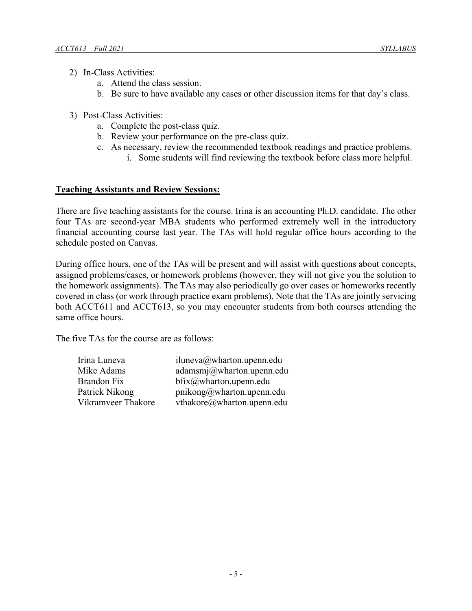- 2) In-Class Activities:
	- a. Attend the class session.
	- b. Be sure to have available any cases or other discussion items for that day's class.
- 3) Post-Class Activities:
	- a. Complete the post-class quiz.
	- b. Review your performance on the pre-class quiz.
	- c. As necessary, review the recommended textbook readings and practice problems.
		- i. Some students will find reviewing the textbook before class more helpful.

#### **Teaching Assistants and Review Sessions:**

There are five teaching assistants for the course. Irina is an accounting Ph.D. candidate. The other four TAs are second-year MBA students who performed extremely well in the introductory financial accounting course last year. The TAs will hold regular office hours according to the schedule posted on Canvas.

During office hours, one of the TAs will be present and will assist with questions about concepts, assigned problems/cases, or homework problems (however, they will not give you the solution to the homework assignments). The TAs may also periodically go over cases or homeworks recently covered in class (or work through practice exam problems). Note that the TAs are jointly servicing both ACCT611 and ACCT613, so you may encounter students from both courses attending the same office hours.

The five TAs for the course are as follows:

| Irina Luneva       | iluneva@wharton.upenn.edu  |
|--------------------|----------------------------|
| Mike Adams         | adamsmj@wharton.upenn.edu  |
| <b>Brandon Fix</b> | $bfix@$ wharton.upenn.edu  |
| Patrick Nikong     | pnikong@wharton.upenn.edu  |
| Vikramveer Thakore | vthakore@wharton.upenn.edu |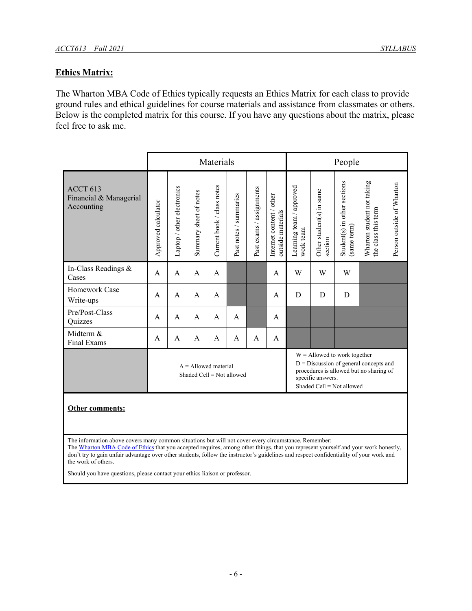# **Ethics Matrix:**

The Wharton MBA Code of Ethics typically requests an Ethics Matrix for each class to provide ground rules and ethical guidelines for course materials and assistance from classmates or others. Below is the completed matrix for this course. If you have any questions about the matrix, please feel free to ask me.

|                                                                                                                         | Materials                                           |                            |                        |                            |                        |                          |                                               | People                                                      |                                                                                     |                                             |                                                   |                           |
|-------------------------------------------------------------------------------------------------------------------------|-----------------------------------------------------|----------------------------|------------------------|----------------------------|------------------------|--------------------------|-----------------------------------------------|-------------------------------------------------------------|-------------------------------------------------------------------------------------|---------------------------------------------|---------------------------------------------------|---------------------------|
| ACCT <sub>613</sub><br>Financial & Managerial<br>Accounting                                                             | Approved calculator                                 | Laptop / other electronics | Summary sheet of notes | Current book / class notes | Past notes / summaries | Past exams / assignments | Internet content / other<br>outside materials | Learning team / approved<br>work team                       | Other student(s) in same<br>section                                                 | Student(s) in other sections<br>(same term) | Wharton student not taking<br>the class this term | Person outside of Wharton |
| In-Class Readings &<br>Cases                                                                                            | A                                                   | $\mathsf{A}$               | $\mathsf{A}$           | A                          |                        |                          | A                                             | W                                                           | W                                                                                   | W                                           |                                                   |                           |
| Homework Case<br>Write-ups                                                                                              | A                                                   | A                          | $\mathsf{A}$           | A                          |                        |                          | A                                             | D                                                           | D                                                                                   | D                                           |                                                   |                           |
| Pre/Post-Class<br>Quizzes                                                                                               | A                                                   | A                          | A                      | A                          | $\mathsf{A}$           |                          | A                                             |                                                             |                                                                                     |                                             |                                                   |                           |
| Midterm &<br>Final Exams                                                                                                | A                                                   | A                          | A                      | A                          | A                      | A                        | A                                             |                                                             |                                                                                     |                                             |                                                   |                           |
|                                                                                                                         | $A =$ Allowed material<br>Shaded Cell = Not allowed |                            |                        |                            |                        |                          | specific answers.                             | $W =$ Allowed to work together<br>Shaded Cell = Not allowed | $D =$ Discussion of general concepts and<br>procedures is allowed but no sharing of |                                             |                                                   |                           |
| Other comments:<br>The information above covers many common situations but will not cover every circumstance. Remember: |                                                     |                            |                        |                            |                        |                          |                                               |                                                             |                                                                                     |                                             |                                                   |                           |

Th[e Wharton MBA Code of Ethics](http://spike.wharton.upenn.edu/mbaprogram/Policies/ethics_code_2008.cfm) that you accepted requires, among other things, that you represent yourself and your work honestly, don't try to gain unfair advantage over other students, follow the instructor's guidelines and respect confidentiality of your work and the work of others.

Should you have questions, please contact your ethics liaison or professor.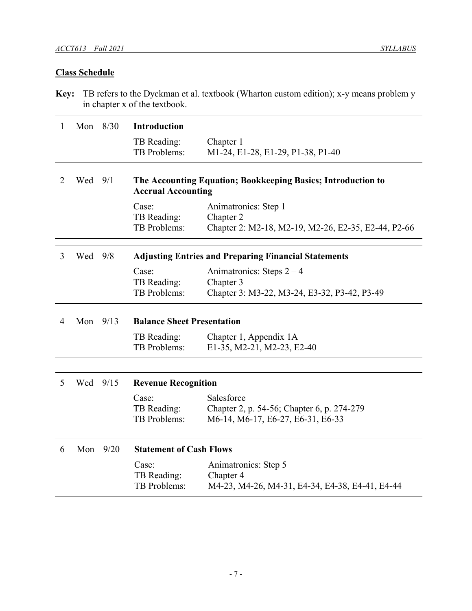# **Class Schedule**

**Key:** TB refers to the Dyckman et al. textbook (Wharton custom edition); x-y means problem y in chapter x of the textbook.

| 1              | Mon 8/30  |      | <b>Introduction</b>               |                                                              |
|----------------|-----------|------|-----------------------------------|--------------------------------------------------------------|
|                |           |      | TB Reading:                       | Chapter 1                                                    |
|                |           |      | TB Problems:                      | M1-24, E1-28, E1-29, P1-38, P1-40                            |
|                |           |      |                                   |                                                              |
| $\overline{2}$ | Wed       | 9/1  | <b>Accrual Accounting</b>         | The Accounting Equation; Bookkeeping Basics; Introduction to |
|                |           |      | Case:                             | Animatronics: Step 1                                         |
|                |           |      | TB Reading:                       | Chapter 2                                                    |
|                |           |      | TB Problems:                      | Chapter 2: M2-18, M2-19, M2-26, E2-35, E2-44, P2-66          |
| 3              | Wed $9/8$ |      |                                   | <b>Adjusting Entries and Preparing Financial Statements</b>  |
|                |           |      | Case:                             | Animatronics: Steps $2 - 4$                                  |
|                |           |      | TB Reading:                       | Chapter 3                                                    |
|                |           |      | TB Problems:                      | Chapter 3: M3-22, M3-24, E3-32, P3-42, P3-49                 |
|                |           |      |                                   |                                                              |
|                |           |      |                                   |                                                              |
| 4              | Mon       | 9/13 | <b>Balance Sheet Presentation</b> |                                                              |
|                |           |      | TB Reading:                       | Chapter 1, Appendix 1A                                       |
|                |           |      | TB Problems:                      | E1-35, M2-21, M2-23, E2-40                                   |
|                |           |      |                                   |                                                              |
| 5              | Wed 9/15  |      | <b>Revenue Recognition</b>        |                                                              |
|                |           |      | Case:                             | Salesforce                                                   |
|                |           |      | TB Reading:                       | Chapter 2, p. 54-56; Chapter 6, p. 274-279                   |
|                |           |      | TB Problems:                      | M6-14, M6-17, E6-27, E6-31, E6-33                            |
|                |           |      |                                   |                                                              |
| 6              | Mon       | 9/20 | <b>Statement of Cash Flows</b>    |                                                              |
|                |           |      | Case:                             | Animatronics: Step 5                                         |
|                |           |      | TB Reading:<br>TB Problems:       | Chapter 4<br>M4-23, M4-26, M4-31, E4-34, E4-38, E4-41, E4-44 |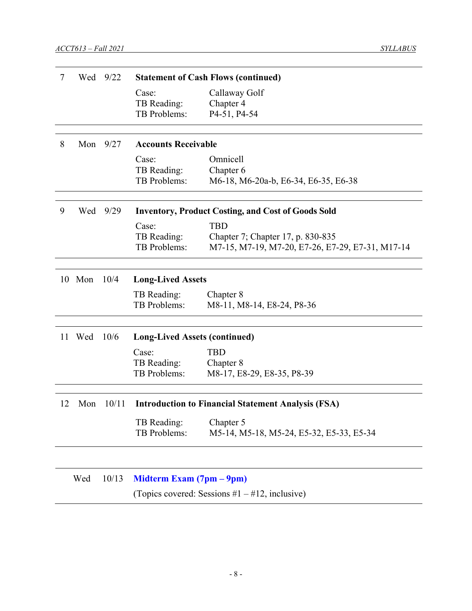| 7  |     | Wed 9/22 |                                      | <b>Statement of Cash Flows (continued)</b>                |
|----|-----|----------|--------------------------------------|-----------------------------------------------------------|
|    |     |          | Case:                                | Callaway Golf                                             |
|    |     |          | TB Reading:                          | Chapter 4                                                 |
|    |     |          | TB Problems:                         | P4-51, P4-54                                              |
|    |     |          |                                      |                                                           |
| 8  | Mon | 9/27     | <b>Accounts Receivable</b>           |                                                           |
|    |     |          | Case:                                | Omnicell                                                  |
|    |     |          | TB Reading:                          | Chapter 6                                                 |
|    |     |          | TB Problems:                         | M6-18, M6-20a-b, E6-34, E6-35, E6-38                      |
|    |     |          |                                      |                                                           |
| 9  | Wed | 9/29     |                                      | <b>Inventory, Product Costing, and Cost of Goods Sold</b> |
|    |     |          | Case:                                | <b>TBD</b>                                                |
|    |     |          | TB Reading:                          | Chapter 7; Chapter 17, p. 830-835                         |
|    |     |          | TB Problems:                         | M7-15, M7-19, M7-20, E7-26, E7-29, E7-31, M17-14          |
|    |     |          |                                      |                                                           |
| 10 | Mon | 10/4     | <b>Long-Lived Assets</b>             |                                                           |
|    |     |          | TB Reading:                          | Chapter 8                                                 |
|    |     |          | TB Problems:                         | M8-11, M8-14, E8-24, P8-36                                |
|    |     |          |                                      |                                                           |
| 11 | Wed | 10/6     | <b>Long-Lived Assets (continued)</b> |                                                           |
|    |     |          | Case:                                | <b>TBD</b>                                                |
|    |     |          | TB Reading:                          | Chapter 8                                                 |
|    |     |          | TB Problems:                         | M8-17, E8-29, E8-35, P8-39                                |
|    |     |          |                                      |                                                           |
| 12 | Mon | 10/11    |                                      | <b>Introduction to Financial Statement Analysis (FSA)</b> |
|    |     |          | TB Reading:                          | Chapter 5                                                 |
|    |     |          | TB Problems:                         | M5-14, M5-18, M5-24, E5-32, E5-33, E5-34                  |
|    |     |          |                                      |                                                           |
|    | Wed | 10/13    | Midterm Exam (7pm – 9pm)             |                                                           |
|    |     |          |                                      | (Topics covered: Sessions $#1 - #12$ , inclusive)         |
|    |     |          |                                      |                                                           |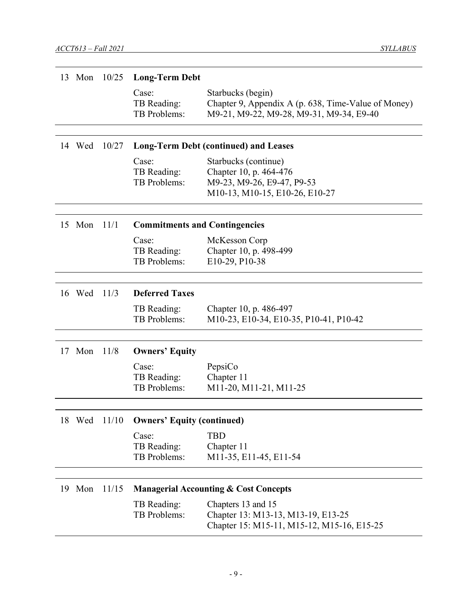| 13 | Mon    | 10/25        | <b>Long-Term Debt</b>                |                                                                                                                      |
|----|--------|--------------|--------------------------------------|----------------------------------------------------------------------------------------------------------------------|
|    |        |              | Case:<br>TB Reading:<br>TB Problems: | Starbucks (begin)<br>Chapter 9, Appendix A (p. 638, Time-Value of Money)<br>M9-21, M9-22, M9-28, M9-31, M9-34, E9-40 |
|    | 14 Wed | 10/27        |                                      | <b>Long-Term Debt (continued) and Leases</b>                                                                         |
|    |        |              | Case:<br>TB Reading:<br>TB Problems: | Starbucks (continue)<br>Chapter 10, p. 464-476<br>M9-23, M9-26, E9-47, P9-53<br>M10-13, M10-15, E10-26, E10-27       |
|    | 15 Mon | 11/1         | <b>Commitments and Contingencies</b> |                                                                                                                      |
|    |        |              | Case:<br>TB Reading:<br>TB Problems: | McKesson Corp<br>Chapter 10, p. 498-499<br>E10-29, P10-38                                                            |
|    | 16 Wed | 11/3         | <b>Deferred Taxes</b>                |                                                                                                                      |
|    |        |              | TB Reading:<br>TB Problems:          | Chapter 10, p. 486-497<br>M10-23, E10-34, E10-35, P10-41, P10-42                                                     |
|    | 17 Mon | 11/8         | <b>Owners' Equity</b>                |                                                                                                                      |
|    |        |              | Case:<br>TB Reading:<br>TB Problems: | PepsiCo<br>Chapter 11<br>M11-20, M11-21, M11-25                                                                      |
|    |        | 18 Wed 11/10 | <b>Owners' Equity (continued)</b>    |                                                                                                                      |
|    |        |              | Case:<br>TB Reading:<br>TB Problems: | <b>TBD</b><br>Chapter 11<br>M11-35, E11-45, E11-54                                                                   |
|    | 19 Mon | 11/15        |                                      | <b>Managerial Accounting &amp; Cost Concepts</b>                                                                     |
|    |        |              | TB Reading:<br>TB Problems:          | Chapters 13 and 15<br>Chapter 13: M13-13, M13-19, E13-25<br>Chapter 15: M15-11, M15-12, M15-16, E15-25               |